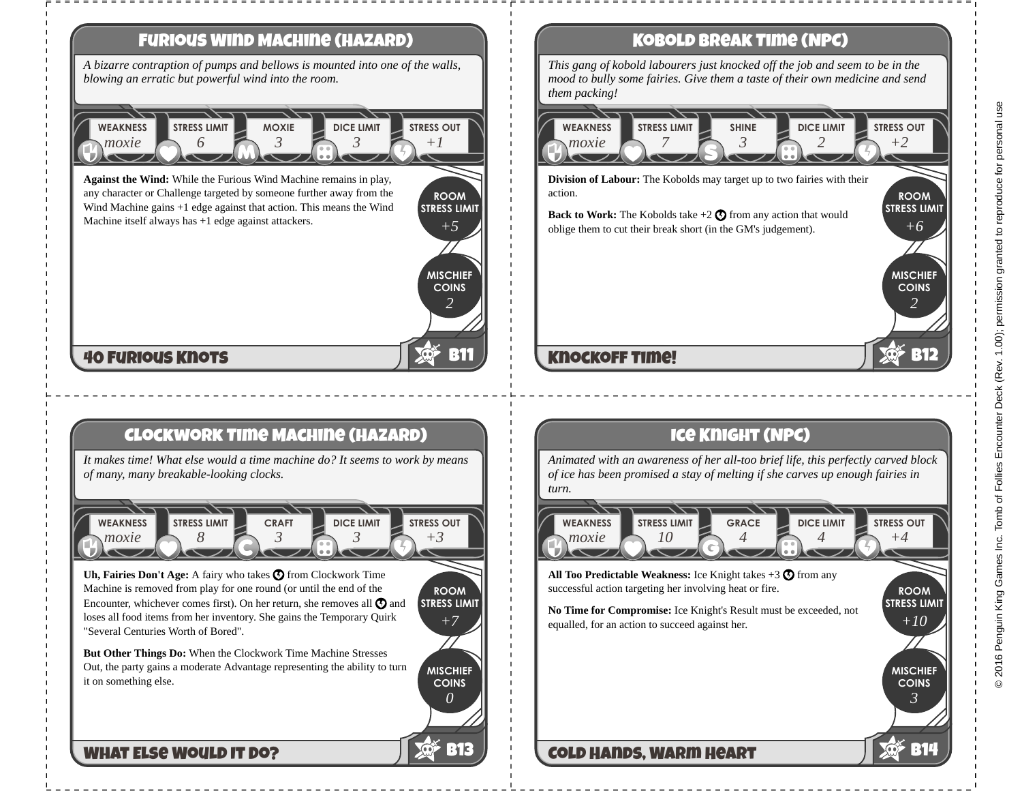

# **Kobold Break Time (NPC)**

*This gang of kobold labourers just knocked off the job and seem to be in the mood to bully some fairies. Give them a taste of their own medicine and send them packing!*



# **Knockoff Time!**

# **Ice Knight (NPC)**

*Animated with an awareness of her all-too brief life, this perfectly carved block of ice has been promised a stay of melting if she carves up enough fairies in turn.*

*moxie* **WEAKNESS** *10* **STRESS LIMIT** *4* **GRACE** *4* **DICE LIMIT** *+4* **STRESS OUT**

**All Too Predictable Weakness:** Ice Knight takes  $+3$   $\bullet$  from any successful action targeting her involving heat or fire.

**Cold Hands, Warm Heart**

**No Time for Compromise:** Ice Knight's Result must be exceeded, not equalled, for an action to succeed against her.

**B12**

**ROOM STRESS LIMIT**

*+10*

**MISCHIEF COINS**

*3*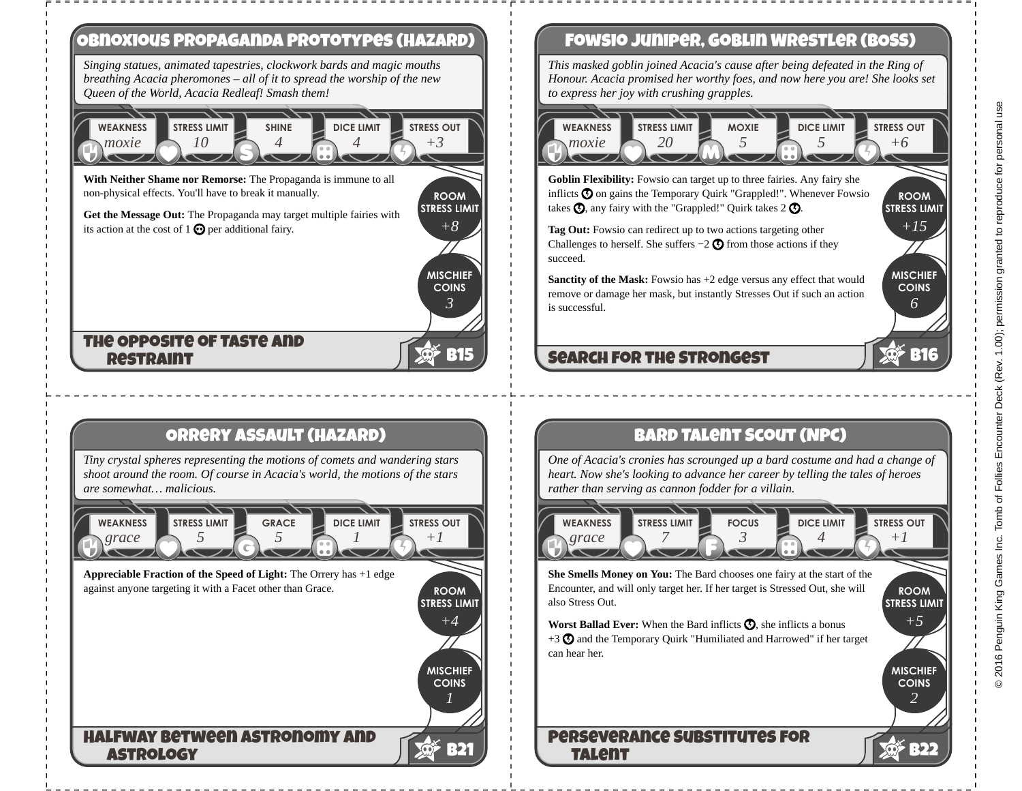

# **Fowsio Juniper, Goblin Wrestler (BOSS)**

*This masked goblin joined Acacia's cause after being defeated in the Ring of Honour. Acacia promised her worthy foes, and now here you are! She looks set to express her joy with crushing grapples.*

### *moxie* **WEAKNESS** *20* **STRESS LIMIT** *5* **MOXIE** *5* **DICE LIMIT** *+6* **STRESS OUT**

**Goblin Flexibility:** Fowsio can target up to three fairies. Any fairy she inflicts  $\odot$  on gains the Temporary Quirk "Grappled!". Whenever Fowsio takes  $\odot$ , any fairy with the "Grappled!" Quirk takes 2  $\odot$ .

**Tag Out:** Fowsio can redirect up to two actions targeting other Challenges to herself. She suffers  $-2$   $\bigcirc$  from those actions if they succeed.

**Sanctity of the Mask:** Fowsio has +2 edge versus any effect that would remove or damage her mask, but instantly Stresses Out if such an action is successful.

# **Search for the Strongest**

**Bard Talent Scout (NPC)**

*One of Acacia's cronies has scrounged up a bard costume and had a change of heart. Now she's looking to advance her career by telling the tales of heroes rather than serving as cannon fodder for a villain.*

*grace* **WEAKNESS** *7* **STRESS LIMIT** *3* **FOCUS** *4* **DICE LIMIT** *+1* **STRESS OUT**

**STRESS LIMIT She Smells Money on You:** The Bard chooses one fairy at the start of the also Stress Out.

**Worst Ballad Ever:** When the Bard inflicts  $\Omega$ , she inflicts a bonus  $+3$   $\odot$  and the Temporary Quirk "Humiliated and Harrowed" if her target can hear her.

# **Perseverance Substitutes for Talent**

**ROOM STRESS LIMIT**

*+15*

**MISCHIEF COINS**

*6*

**B16**

**MISCHIEF COINS**

*2*

*+5*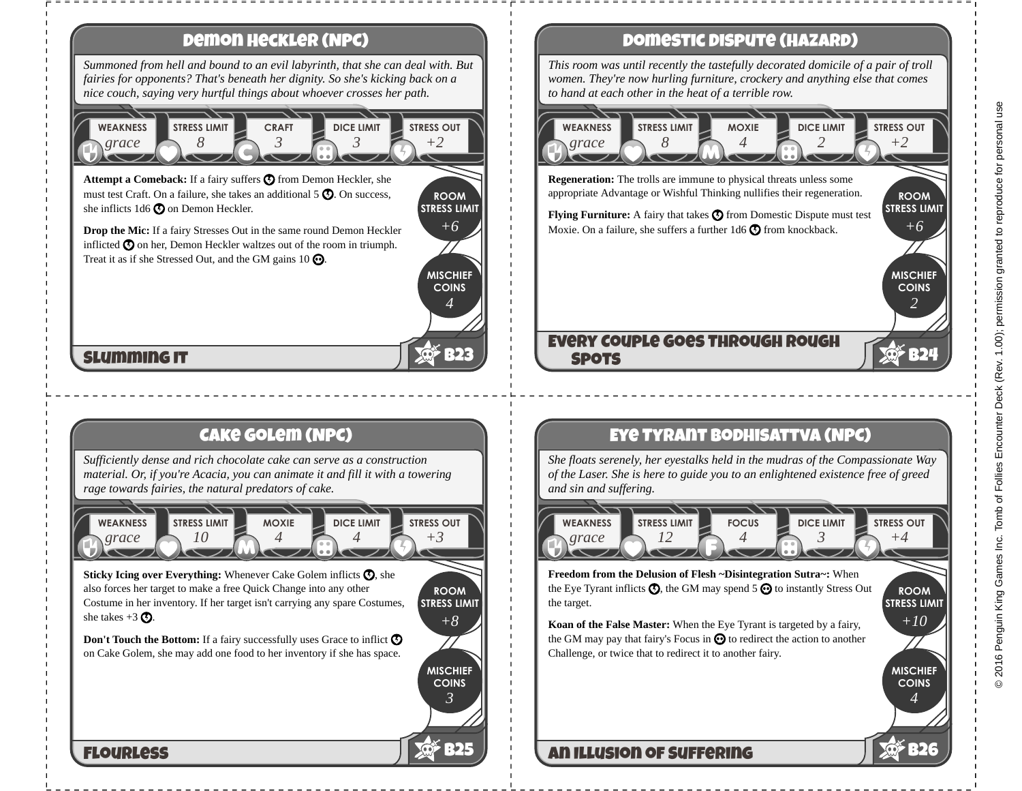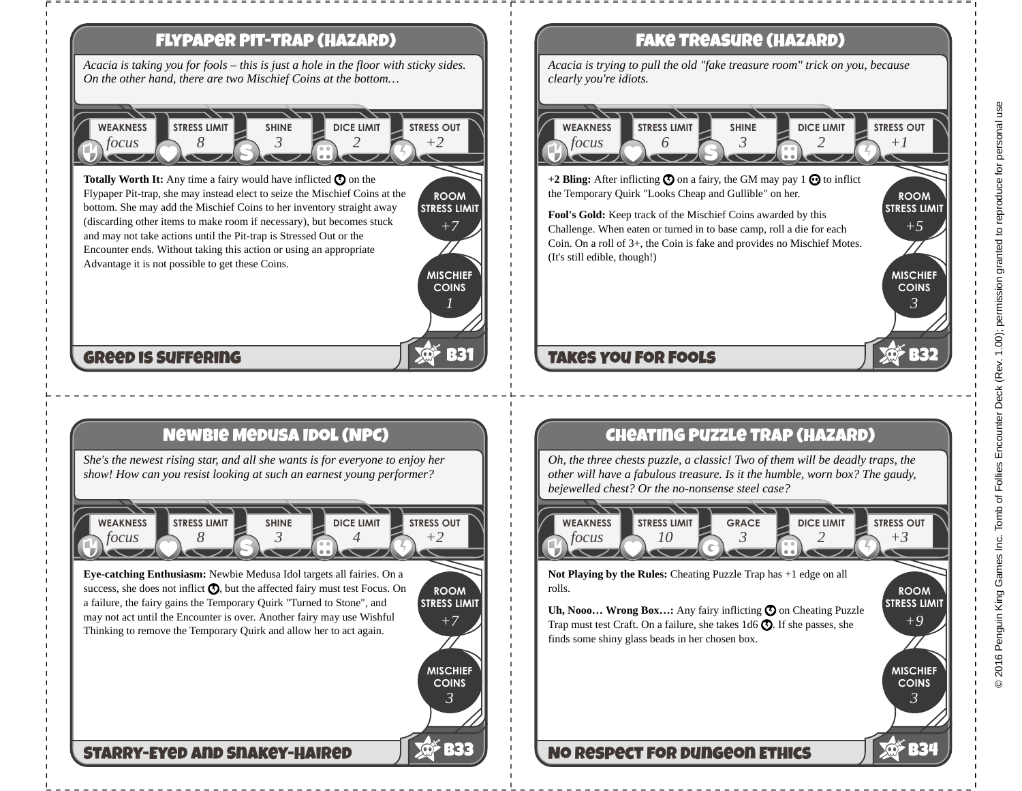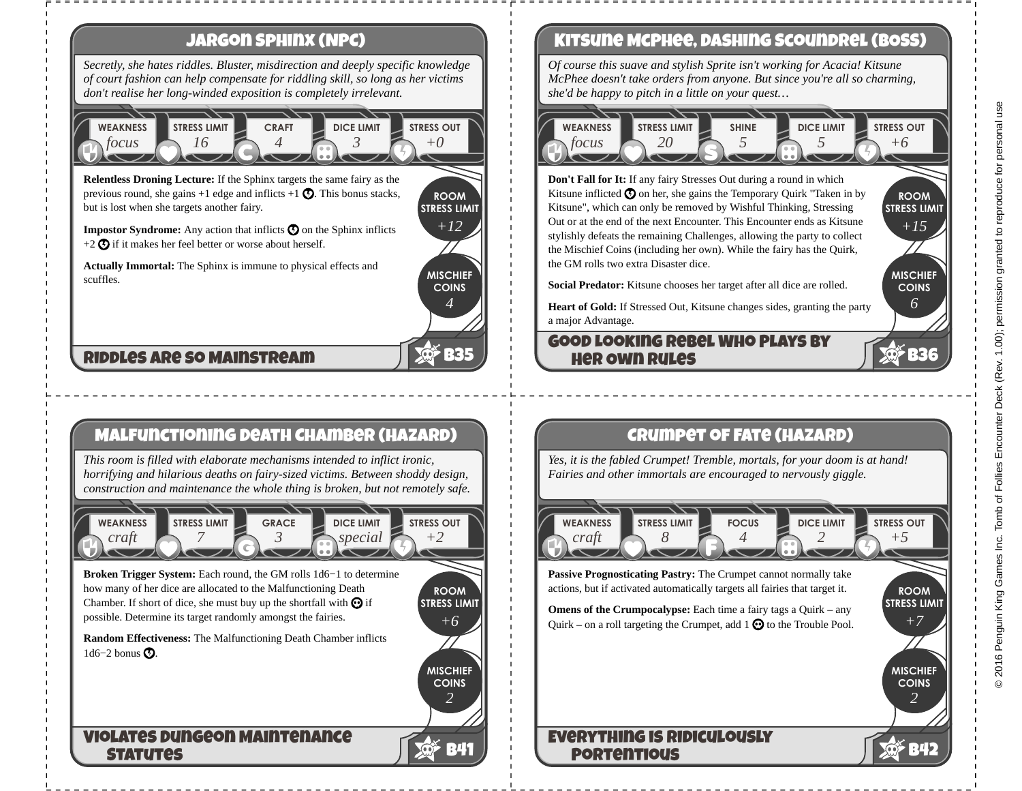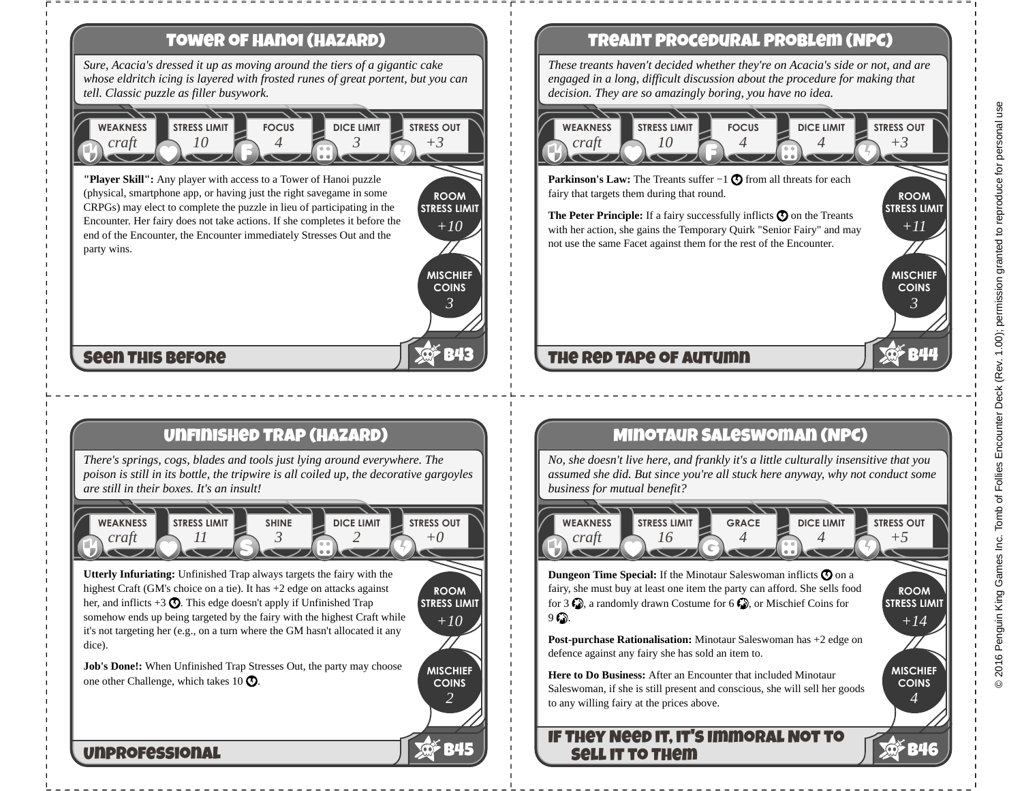# **Tower of Hanoi (Hazard)**

*Sure, Acacia's dressed it up as moving around the tiers of a gigantic cake whose eldritch icing is layered with frosted runes of great portent, but you can tell. Classic puzzle as filler busywork.*

### *craft* **WEAKNESS** *10* **STRESS LIMIT** *4* **FOCUS** *3* **DICE LIMIT** *+3* **STRESS OUT**

**"Player Skill":** Any player with access to a Tower of Hanoi puzzle (physical, smartphone app, or having just the right savegame in some CRPGs) may elect to complete the puzzle in lieu of participating in the Encounter. Her fairy does not take actions. If she completes it before the end of the Encounter, the Encounter immediately Stresses Out and the party wins.

**MISCHIEF COINS** *+10 3*

**B43**

**ROOM STRESS LIMIT**

*+10*

**MISCHIEF COINS**

*2*

**B45**

**ROOM STRESS LIMIT**

# **Seen This Before**

## **Unfinished Trap (Hazard)**

*There's springs, cogs, blades and tools just lying around everywhere. The poison is still in its bottle, the tripwire is all coiled up, the decorative gargoyles are still in their boxes. It's an insult!*



**Utterly Infuriating:** Unfinished Trap always targets the fairy with the highest Craft (GM's choice on a tie). It has +2 edge on attacks against her, and inflicts  $+3\Omega$ . This edge doesn't apply if Unfinished Trap somehow ends up being targeted by the fairy with the highest Craft while it's not targeting her (e.g., on a turn where the GM hasn't allocated it any dice).

**Job's Done!:** When Unfinished Trap Stresses Out, the party may choose one other Challenge, which takes 10  $\odot$ .

### **Unprofessional**

## **Treant Procedural Problem (NPC)**

*These treants haven't decided whether they're on Acacia's side or not, and are engaged in a long, difficult discussion about the procedure for making that decision. They are so amazingly boring, you have no idea.*

### *craft* **WEAKNESS** *10* **STRESS LIMIT** *4* **FOCUS** *4* **DICE LIMIT** *+3* **STRESS OUT**

**Parkinson's Law:** The Treants suffer −1 **①** from all threats for each fairy that targets them during that round.

**The Peter Principle:** If a fairy successfully inflicts  $\mathbf{\Omega}$  on the Treants with her action, she gains the Temporary Quirk "Senior Fairy" and may not use the same Facet against them for the rest of the Encounter.

# **The Red Tape of Autumn**

## **Minotaur Saleswoman (NPC)**

*No, she doesn't live here, and frankly it's a little culturally insensitive that you assumed she did. But since you're all stuck here anyway, why not conduct some business for mutual benefit?*

*craft* **WEAKNESS** *16* **STRESS LIMIT** *4* **GRACE** *4* **DICE LIMIT** *+5* **STRESS OUT**

**Dungeon Time Special:** If the Minotaur Saleswoman inflicts  $\boldsymbol{\Theta}$  on a fairy, she must buy at least one item the party can afford. She sells food for 3  $\bigcirc$ , a randomly drawn Costume for 6  $\bigcirc$ , or Mischief Coins for  $9 \, \text{C}$ .

**Post-purchase Rationalisation:** Minotaur Saleswoman has +2 edge on defence against any fairy she has sold an item to.

**Here to Do Business:** After an Encounter that included Minotaur Saleswoman, if she is still present and conscious, she will sell her goods to any willing fairy at the prices above.

### **If They Need it, it's Immoral Not to Sell it to Them**

**ROOM STRESS LIMIT**

*+11*

**MISCHIEF COINS**

*3*

**B44**

**ROOM STRESS LIMIT**

*+14*

**MISCHIEF COINS**

*4*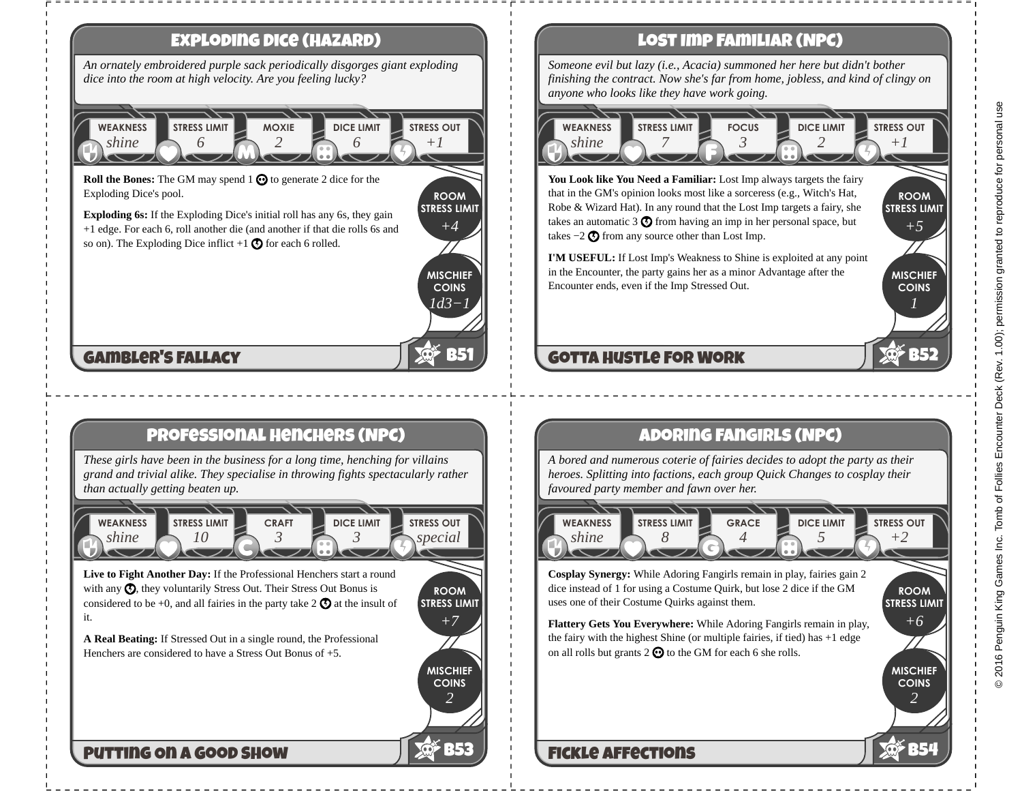

# **Lost Imp Familiar (NPC)**

*Someone evil but lazy (i.e., Acacia) summoned her here but didn't bother finishing the contract. Now she's far from home, jobless, and kind of clingy on anyone who looks like they have work going.*

### *shine* **WEAKNESS** *7* **STRESS LIMIT** *3* **FOCUS** *2* **DICE LIMIT** *+1* **STRESS OUT**

**You Look like You Need a Familiar:** Lost Imp always targets the fairy that in the GM's opinion looks most like a sorceress (e.g., Witch's Hat, Robe & Wizard Hat). In any round that the Lost Imp targets a fairy, she takes an automatic 3  $\odot$  from having an imp in her personal space, but takes  $-2$  **۞** from any source other than Lost Imp.

**I'M USEFUL:** If Lost Imp's Weakness to Shine is exploited at any point in the Encounter, the party gains her as a minor Advantage after the Encounter ends, even if the Imp Stressed Out.

# **Gotta Hustle For Work**

# **Adoring Fangirls (NPC)**

*A bored and numerous coterie of fairies decides to adopt the party as their heroes. Splitting into factions, each group Quick Changes to cosplay their favoured party member and fawn over her.*



**Cosplay Synergy:** While Adoring Fangirls remain in play, fairies gain 2 dice instead of 1 for using a Costume Quirk, but lose 2 dice if the GM uses one of their Costume Quirks against them.

**Flattery Gets You Everywhere:** While Adoring Fangirls remain in play, the fairy with the highest Shine (or multiple fairies, if tied) has +1 edge on all rolls but grants  $2 \odot$  to the GM for each 6 she rolls.

# **Fickle Affections**

**ROOM STRESS LIMIT** 

*+5*

**MISCHIEF COINS**

*1*

**B52**

**ROOM STRESS LIMIT**

*+6*

**MISCHIEF COINS**

*2*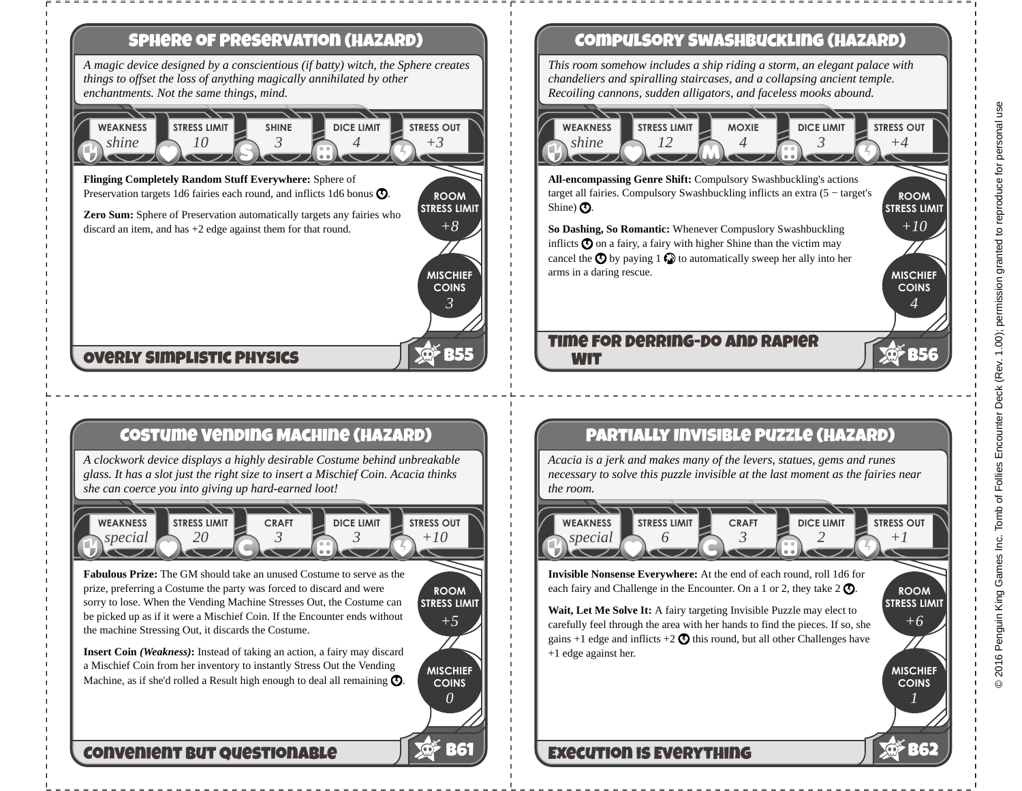

# **Costume Vending Machine (Hazard)**

*A clockwork device displays a highly desirable Costume behind unbreakable glass. It has a slot just the right size to insert a Mischief Coin. Acacia thinks she can coerce you into giving up hard-earned loot!*



**Fabulous Prize:** The GM should take an unused Costume to serve as the prize, preferring a Costume the party was forced to discard and were sorry to lose. When the Vending Machine Stresses Out, the Costume can be picked up as if it were a Mischief Coin. If the Encounter ends without the machine Stressing Out, it discards the Costume.

**ROOM STRESS LIMIT** *+5*

> **MISCHIEF COINS**

> > *0*

**B61**

**Insert Coin** *(Weakness)***:** Instead of taking an action, a fairy may discard a Mischief Coin from her inventory to instantly Stress Out the Vending Machine, as if she'd rolled a Result high enough to deal all remaining  $\mathcal{O}$ .

## **Convenient but Questionable**

# **Compulsory Swashbuckling (Hazard)**

*This room somehow includes a ship riding a storm, an elegant palace with chandeliers and spiralling staircases, and a collapsing ancient temple. Recoiling cannons, sudden alligators, and faceless mooks abound.*

### *shine* **WEAKNESS** *12* **STRESS LIMIT** *4* **MOXIE** *3* **DICE LIMIT** *+4* **STRESS OUT**

**All-encompassing Genre Shift:** Compulsory Swashbuckling's actions target all fairies. Compulsory Swashbuckling inflicts an extra (5 − target's Shine)  $\Omega$ .

**So Dashing, So Romantic:** Whenever Compuslory Swashbuckling inflicts  $\odot$  on a fairy, a fairy with higher Shine than the victim may cancel the  $\bigcirc$  by paying 1  $\bigcirc$  to automatically sweep her ally into her arms in a daring rescue.

### **Time for Derring-Do and Rapier Wit**

# **Partially Invisible Puzzle (Hazard)**

*Acacia is a jerk and makes many of the levers, statues, gems and runes necessary to solve this puzzle invisible at the last moment as the fairies near the room.*

*special* **WEAKNESS** *6* **STRESS LIMIT** *3* **CRAFT** *2* **DICE LIMIT** *+1* **STRESS OUT**

**Invisible Nonsense Everywhere:** At the end of each round, roll 1d6 for each fairy and Challenge in the Encounter. On a 1 or 2, they take  $2 \bigcirc$ .

**STRESS LIMIT Wait, Let Me Solve It:** A fairy targeting Invisible Puzzle may elect to carefully feel through the area with her hands to find the pieces. If so, she gains +1 edge and inflicts +2  $\odot$  this round, but all other Challenges have +1 edge against her.

# **Execution is Everything**

**ROOM STRESS LIMIT**

*+10*

**MISCHIEF COINS**

*4*

**B56**

**ROOM**

*+6*

**MISCHIEF COINS**

*1*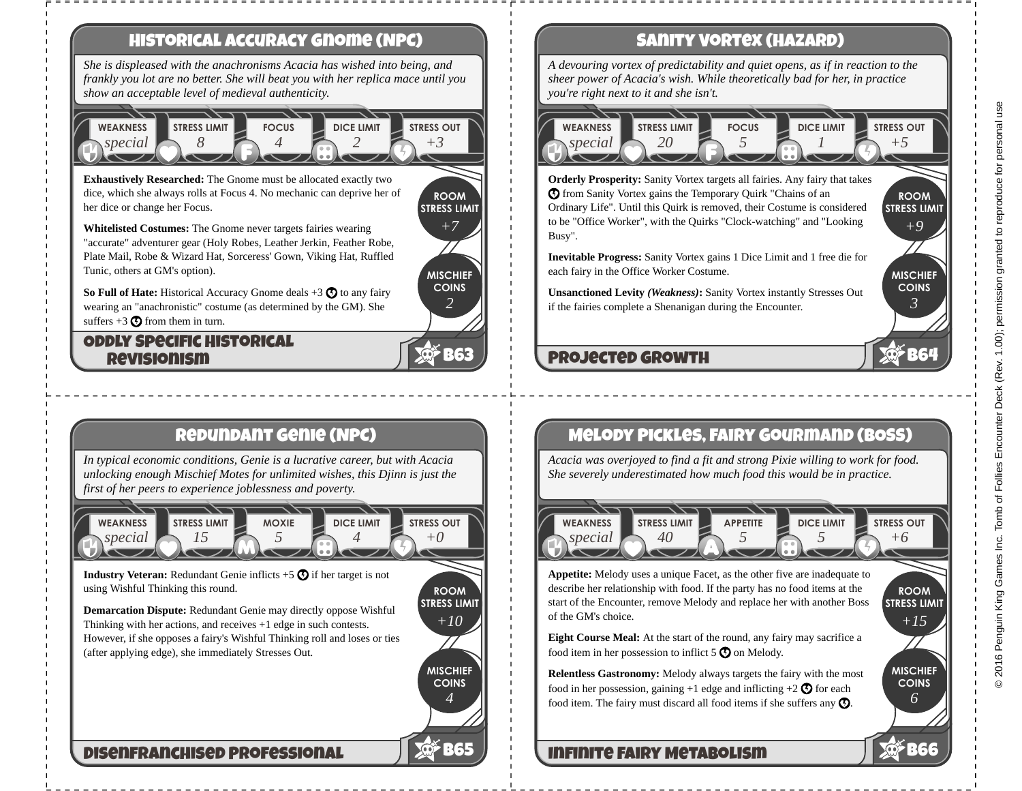

# **Redundant Genie (NPC)**

*In typical economic conditions, Genie is a lucrative career, but with Acacia unlocking enough Mischief Motes for unlimited wishes, this Djinn is just the first of her peers to experience joblessness and poverty.*



**ROOM STRESS LIMIT**

*+10*

**MISCHIEF COINS**

*4*

**B65** RG5

**Industry Veteran:** Redundant Genie inflicts  $+5\Omega$  if her target is not using Wishful Thinking this round.

**Demarcation Dispute:** Redundant Genie may directly oppose Wishful Thinking with her actions, and receives +1 edge in such contests. However, if she opposes a fairy's Wishful Thinking roll and loses or ties (after applying edge), she immediately Stresses Out.

**Disenfranchised Professional**

# **Sanity Vortex (Hazard)**

*A devouring vortex of predictability and quiet opens, as if in reaction to the sheer power of Acacia's wish. While theoretically bad for her, in practice you're right next to it and she isn't.*

### *special* **WEAKNESS** *20* **STRESS LIMIT** *5* **FOCUS** *1* **DICE LIMIT** *+5* **STRESS OUT**

**STRESS LIMIT Orderly Prosperity:** Sanity Vortex targets all fairies. Any fairy that takes  $\odot$  from Sanity Vortex gains the Temporary Quirk "Chains of an Ordinary Life". Until this Quirk is removed, their Costume is considered to be "Office Worker", with the Quirks "Clock-watching" and "Looking Busy".

**Inevitable Progress:** Sanity Vortex gains 1 Dice Limit and 1 free die for each fairy in the Office Worker Costume.

**Unsanctioned Levity** *(Weakness)***:** Sanity Vortex instantly Stresses Out if the fairies complete a Shenanigan during the Encounter.

# **Projected Growth**

# **Melody Pickles, Fairy Gourmand (BOSS)**

*Acacia was overjoyed to find a fit and strong Pixie willing to work for food. She severely underestimated how much food this would be in practice.*

*special* **WEAKNESS** *40* **STRESS LIMIT** *5* **APPETITE** *5* **DICE LIMIT** *+6* **STRESS OUT**

**STRESS LIMIT Appetite:** Melody uses a unique Facet, as the other five are inadequate to describe her relationship with food. If the party has no food items at the start of the Encounter, remove Melody and replace her with another Boss of the GM's choice.

**Eight Course Meal:** At the start of the round, any fairy may sacrifice a food item in her possession to inflict  $5\Omega$  on Melody.

**Relentless Gastronomy:** Melody always targets the fairy with the most food in her possession, gaining  $+1$  edge and inflicting  $+2$   $\odot$  for each food item. The fairy must discard all food items if she suffers any  $\mathcal{O}$ .

## **Infinite Fairy Metabolism**

**ROOM**

*+9*

**MISCHIEF COINS**

*3*

**B64**

**ROOM**

*+15*

**MISCHIEF COINS**

*6*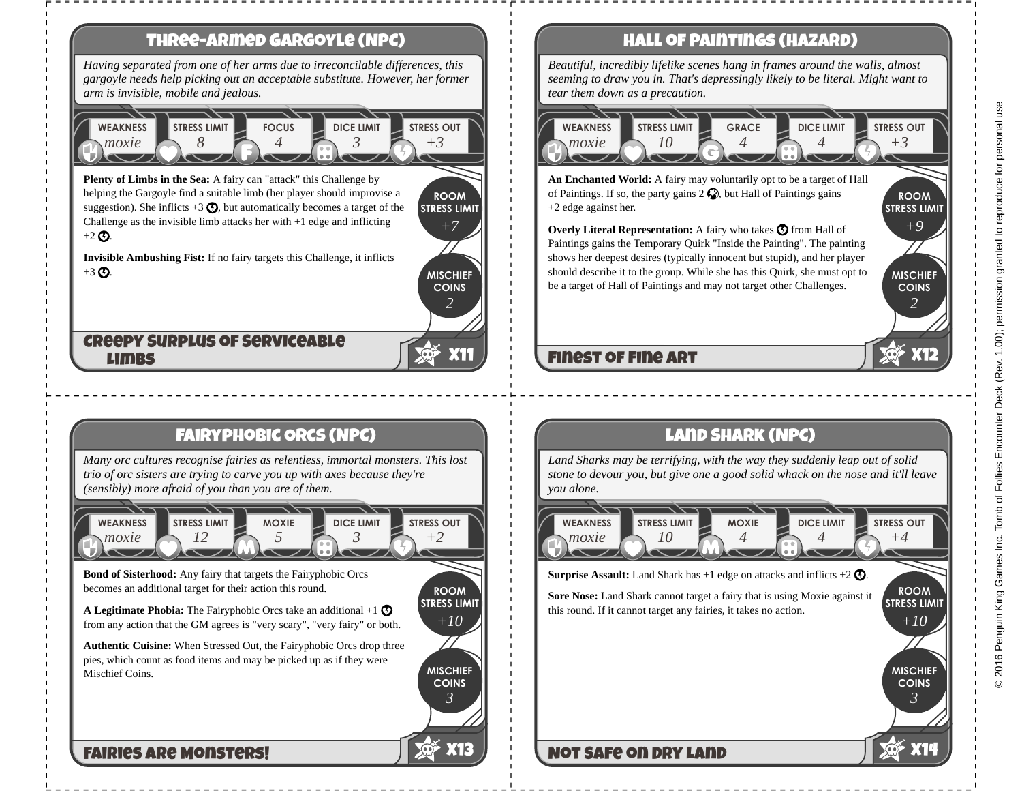

2016 Penguin King Games Inc. Tomb of Follies Encounter Deck (Rev. 1.00); permission granted to reproduce for personal use © 2016 Penguin King Games Inc. Tomb of Follies Encounter Deck (Rev. 1.00); permission granted to reproduce for personal use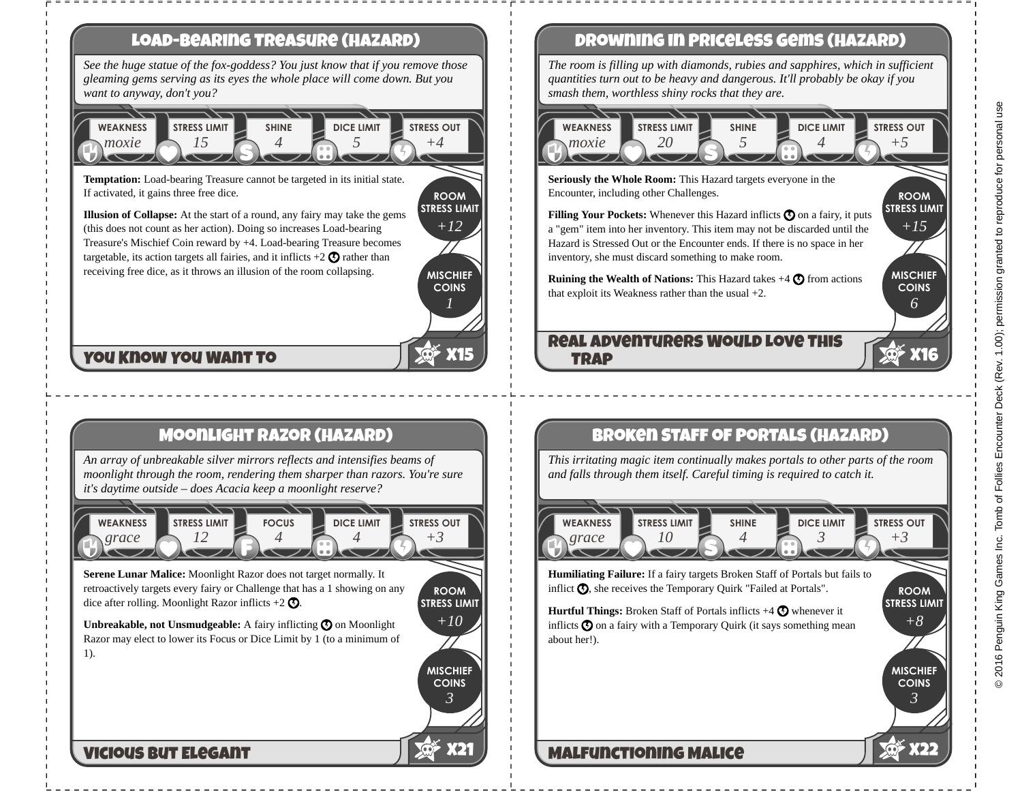

# **Drowning in Priceless Gems (Hazard)**

*The room is filling up with diamonds, rubies and sapphires, which in sufficient quantities turn out to be heavy and dangerous. It'll probably be okay if you smash them, worthless shiny rocks that they are.*

### *20* **STRESS LIMIT** *5* **SHINE** *4* **DICE LIMIT** *+5* **STRESS OUT**

**Seriously the Whole Room:** This Hazard targets everyone in the Encounter, including other Challenges.

**Filling Your Pockets:** Whenever this Hazard inflicts  $\mathbf{\odot}$  on a fairy, it puts a "gem" item into her inventory. This item may not be discarded until the Hazard is Stressed Out or the Encounter ends. If there is no space in her inventory, she must discard something to make room.

**Ruining the Wealth of Nations:** This Hazard takes  $+4$   $\odot$  from actions that exploit its Weakness rather than the usual +2.

# **Real Adventurers Would Love This**

# **Broken Staff of Portals (Hazard)**

*This irritating magic item continually makes portals to other parts of the room and falls through them itself. Careful timing is required to catch it.*



**STRESS LIMIT Humiliating Failure:** If a fairy targets Broken Staff of Portals but fails to inflict  $\mathcal{O}$ , she receives the Temporary Quirk "Failed at Portals".

**Hurtful Things:** Broken Staff of Portals inflicts +4  $\bullet$  whenever it inflicts  $\odot$  on a fairy with a Temporary Quirk (it says something mean

# 2016 Penguin King Games Inc. Tomb of Follies Encounter Deck (Rev. 1.00); permission granted to reproduce for personal use © 2016 Penguin King Games Inc. Tomb of Follies Encounter Deck (Rev. 1.00); permission granted to reproduce for personal use

**ROOM STRESS LIMIT**

*+15*

**MISCHIEF COINS**

*6*

**X16**

**ROOM**

*+8*

**MISCHIEF COINS**

*3*

**X22**

# **Malfunctioning Malice**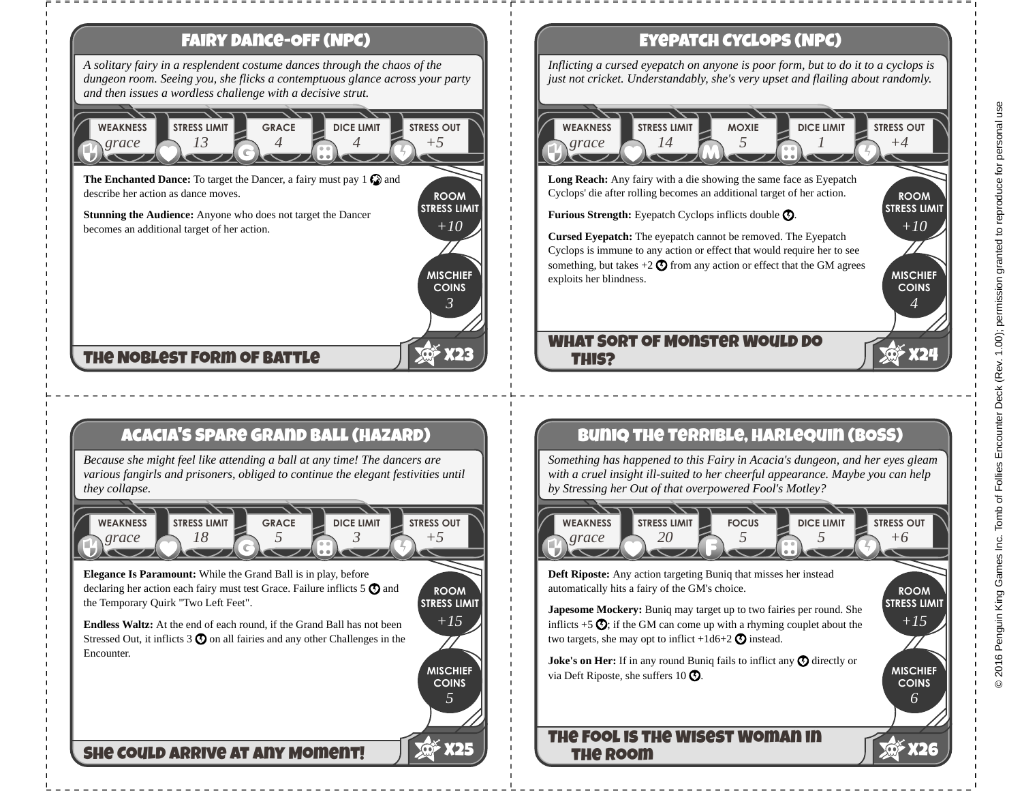

# **Acacia's Spare Grand Ball (Hazard)**

*Because she might feel like attending a ball at any time! The dancers are various fangirls and prisoners, obliged to continue the elegant festivities until they collapse.*



**Elegance Is Paramount:** While the Grand Ball is in play, before declaring her action each fairy must test Grace. Failure inflicts  $5 \bigcirc$  and the Temporary Quirk "Two Left Feet".

**ROOM STRESS LIMIT** *+15*

> **MISCHIEF COINS**

> > *5*

**X25**

**Endless Waltz:** At the end of each round, if the Grand Ball has not been Stressed Out, it inflicts  $3\Omega$  on all fairies and any other Challenges in the Encounter.

**She Could Arrive at Any Moment!**

# **Eyepatch Cyclops (NPC)**

*Inflicting a cursed eyepatch on anyone is poor form, but to do it to a cyclops is just not cricket. Understandably, she's very upset and flailing about randomly.*

### *grace* **WEAKNESS** *14* **STRESS LIMIT** *5* **MOXIE** *1* **DICE LIMIT** *+4* **STRESS OUT**

**Long Reach:** Any fairy with a die showing the same face as Eyepatch Cyclops' die after rolling becomes an additional target of her action.

Furious Strength: Eyepatch Cyclops inflicts double  $\odot$ .

**Cursed Eyepatch:** The eyepatch cannot be removed. The Eyepatch Cyclops is immune to any action or effect that would require her to see something, but takes  $+2$   $\odot$  from any action or effect that the GM agrees exploits her blindness.

### **What Sort of Monster Would Do This?**

# **Buniq the Terrible, Harlequin (BOSS)**

*Something has happened to this Fairy in Acacia's dungeon, and her eyes gleam with a cruel insight ill-suited to her cheerful appearance. Maybe you can help by Stressing her Out of that overpowered Fool's Motley?*

*grace* **WEAKNESS** *20* **STRESS LIMIT** *5* **FOCUS** *5* **DICE LIMIT** *+6* **STRESS OUT**

**Deft Riposte:** Any action targeting Buniq that misses her instead automatically hits a fairy of the GM's choice.

**Japesome Mockery:** Buniq may target up to two fairies per round. She inflicts  $+5\Omega$ ; if the GM can come up with a rhyming couplet about the two targets, she may opt to inflict  $+1d6+2$  **O** instead.

**Joke's on Her:** If in any round Buniq fails to inflict any  $\mathbf{\odot}$  directly or via Deft Riposte, she suffers 10  $\Omega$ .

## **The Fool is the Wisest Woman in the Room**

**ROOM STRESS LIMIT**

*+10*

**MISCHIEF COINS**

*4*

**X24**

**ROOM STRESS LIMIT**

*+15*

**MISCHIEF COINS**

*6*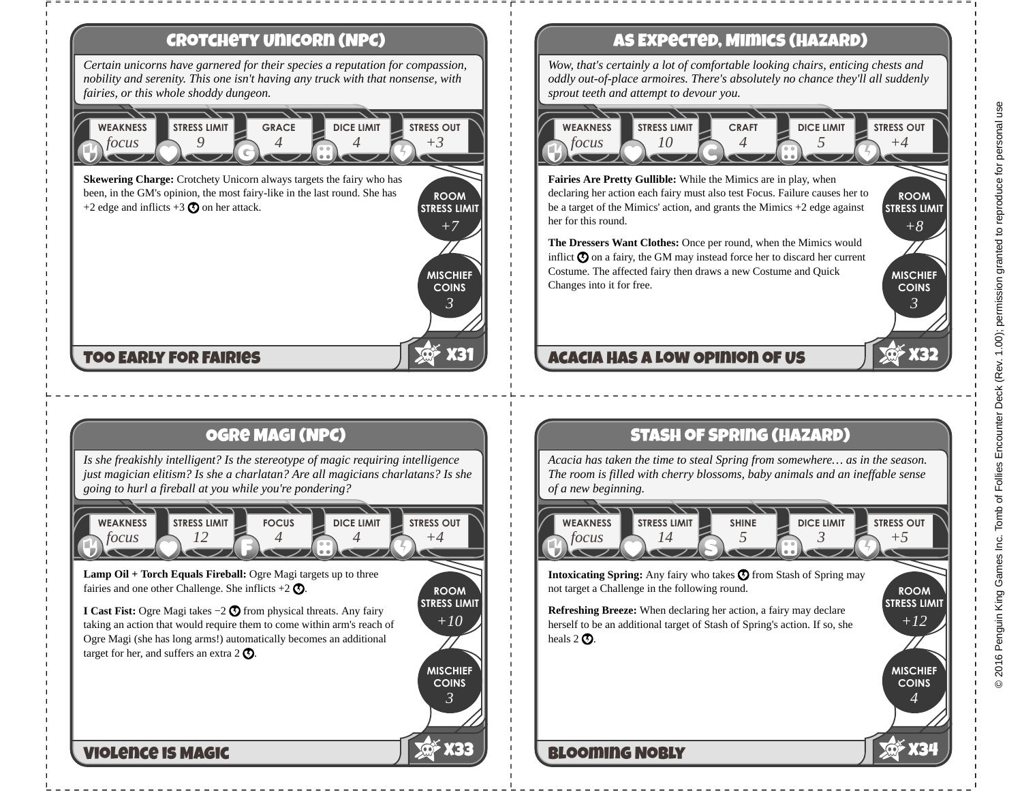### **ROOM STRESS LIMIT MISCHIEF COINS Crotchety Unicorn (NPC) X31** *Certain unicorns have garnered for their species a reputation for compassion, nobility and serenity. This one isn't having any truck with that nonsense, with fairies, or this whole shoddy dungeon. focus* **WEAKNESS** *9* **STRESS LIMIT** *4* **GRACE** *4* **DICE LIMIT** *+3* **STRESS OUT** *+7 3* **Too Early for Fairies Skewering Charge:** Crotchety Unicorn always targets the fairy who has been, in the GM's opinion, the most fairy-like in the last round. She has +2 edge and inflicts  $+3$   $\Omega$  on her attack.

# **Ogre Magi (NPC)**

*Is she freakishly intelligent? Is the stereotype of magic requiring intelligence just magician elitism? Is she a charlatan? Are all magicians charlatans? Is she going to hurl a fireball at you while you're pondering?*



**ROOM STRESS LIMIT**

*+10*

**MISCHIEF COINS**

*3*

**X33**

**Lamp Oil + Torch Equals Fireball:** Ogre Magi targets up to three fairies and one other Challenge. She inflicts  $+2$   $\odot$ .

**I Cast Fist:** Ogre Magi takes −2 **①** from physical threats. Any fairy taking an action that would require them to come within arm's reach of Ogre Magi (she has long arms!) automatically becomes an additional target for her, and suffers an extra  $2 \, \textcircled{1}$ .

## **Violence is Magic**

# **As Expected, Mimics (Hazard)**

*Wow, that's certainly a lot of comfortable looking chairs, enticing chests and oddly out-of-place armoires. There's absolutely no chance they'll all suddenly sprout teeth and attempt to devour you.*

### *focus* **WEAKNESS** *10* **STRESS LIMIT** *4* **CRAFT** *5* **DICE LIMIT** *+4* **STRESS OUT**

**Fairies Are Pretty Gullible:** While the Mimics are in play, when declaring her action each fairy must also test Focus. Failure causes her to be a target of the Mimics' action, and grants the Mimics +2 edge against her for this round.

**The Dressers Want Clothes:** Once per round, when the Mimics would inflict  $\boldsymbol{\Omega}$  on a fairy, the GM may instead force her to discard her current Costume. The affected fairy then draws a new Costume and Quick Changes into it for free.

# **Acacia Has a Low Opinion of Us**

# **Stash of Spring (Hazard)**

*Acacia has taken the time to steal Spring from somewhere… as in the season. The room is filled with cherry blossoms, baby animals and an ineffable sense of a new beginning.*

*focus* **WEAKNESS** *14* **STRESS LIMIT** *5* **SHINE** *3* **DICE LIMIT** *+5* **STRESS OUT**

**Intoxicating Spring:** Any fairy who takes  $\bigcirc$  from Stash of Spring may not target a Challenge in the following round.

**Refreshing Breeze:** When declaring her action, a fairy may declare herself to be an additional target of Stash of Spring's action. If so, she heals  $2 \, \Omega$ .

# **Blooming Nobly**

**ROOM STRESS LIMIT** 

*+8*

**MISCHIEF COINS**

*3*

**X32**

**ROOM STRESS LIMIT**

*+12*

**MISCHIEF COINS**

*4*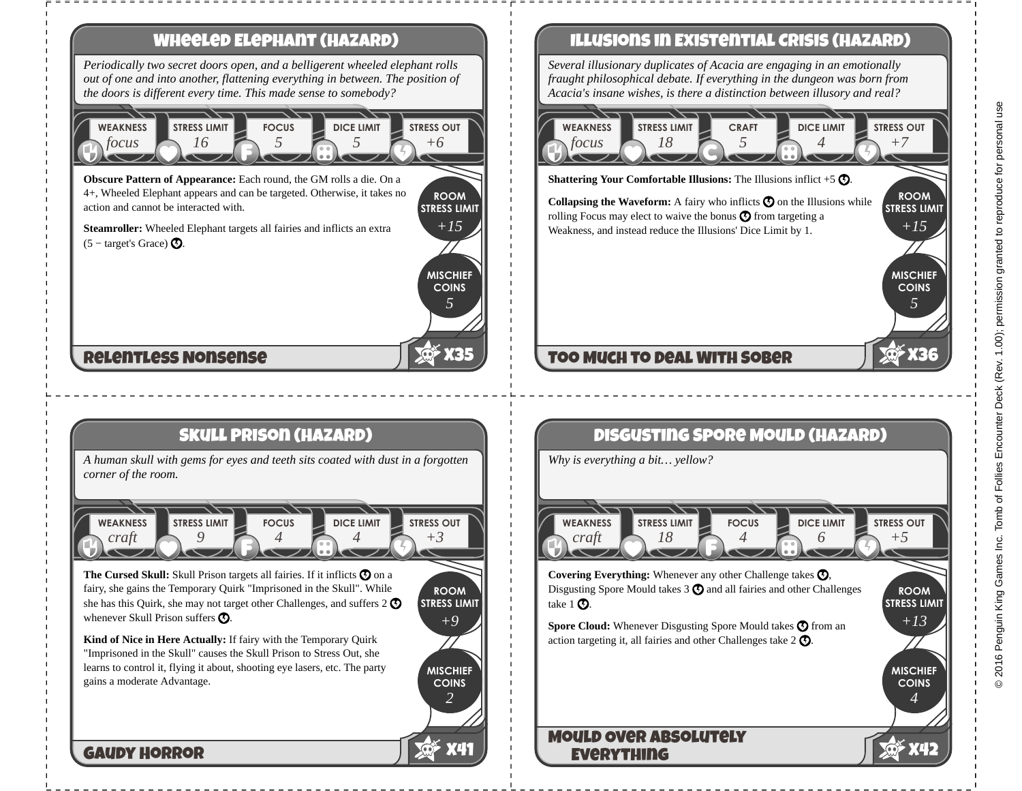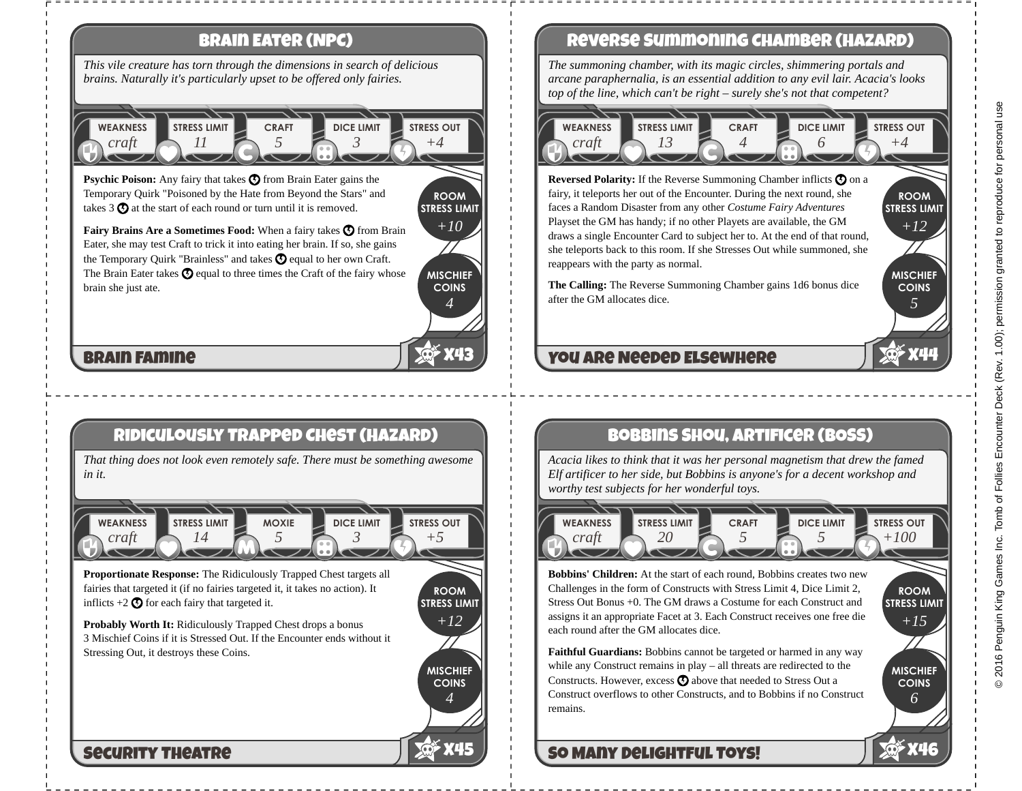

# **Reverse Summoning Chamber (Hazard)**

*The summoning chamber, with its magic circles, shimmering portals and arcane paraphernalia, is an essential addition to any evil lair. Acacia's looks top of the line, which can't be right – surely she's not that competent?*

### *craft* **WEAKNESS** *13* **STRESS LIMIT** *4* **CRAFT** *6* **DICE LIMIT** *+4* **STRESS OUT**

**STRESS LIMIT Reversed Polarity:** If the Reverse Summoning Chamber inflicts  $\boldsymbol{\odot}$  on a fairy, it teleports her out of the Encounter. During the next round, she faces a Random Disaster from any other *Costume Fairy Adventures* Playset the GM has handy; if no other Playets are available, the GM draws a single Encounter Card to subject her to. At the end of that round, she teleports back to this room. If she Stresses Out while summoned, she reappears with the party as normal.

**The Calling:** The Reverse Summoning Chamber gains 1d6 bonus dice after the GM allocates dice.

# **You are Needed Elsewhere**

# **Bobbins Shou, Artificer (BOSS)**

*Acacia likes to think that it was her personal magnetism that drew the famed Elf artificer to her side, but Bobbins is anyone's for a decent workshop and worthy test subjects for her wonderful toys.*



**Bobbins' Children:** At the start of each round, Bobbins creates two new Challenges in the form of Constructs with Stress Limit 4, Dice Limit 2, Stress Out Bonus +0. The GM draws a Costume for each Construct and assigns it an appropriate Facet at 3. Each Construct receives one free die each round after the GM allocates dice.

**Faithful Guardians:** Bobbins cannot be targeted or harmed in any way while any Construct remains in play – all threats are redirected to the Constructs. However, excess  $\odot$  above that needed to Stress Out a Construct overflows to other Constructs, and to Bobbins if no Construct remains.

# **So Many Delightful Toys!**

**MISCHIEF COINS**

*6*

**X46**

**ROOM STRESS LIMIT**

*+15*

**ROOM**

*+12*

**MISCHIEF COINS**

*5*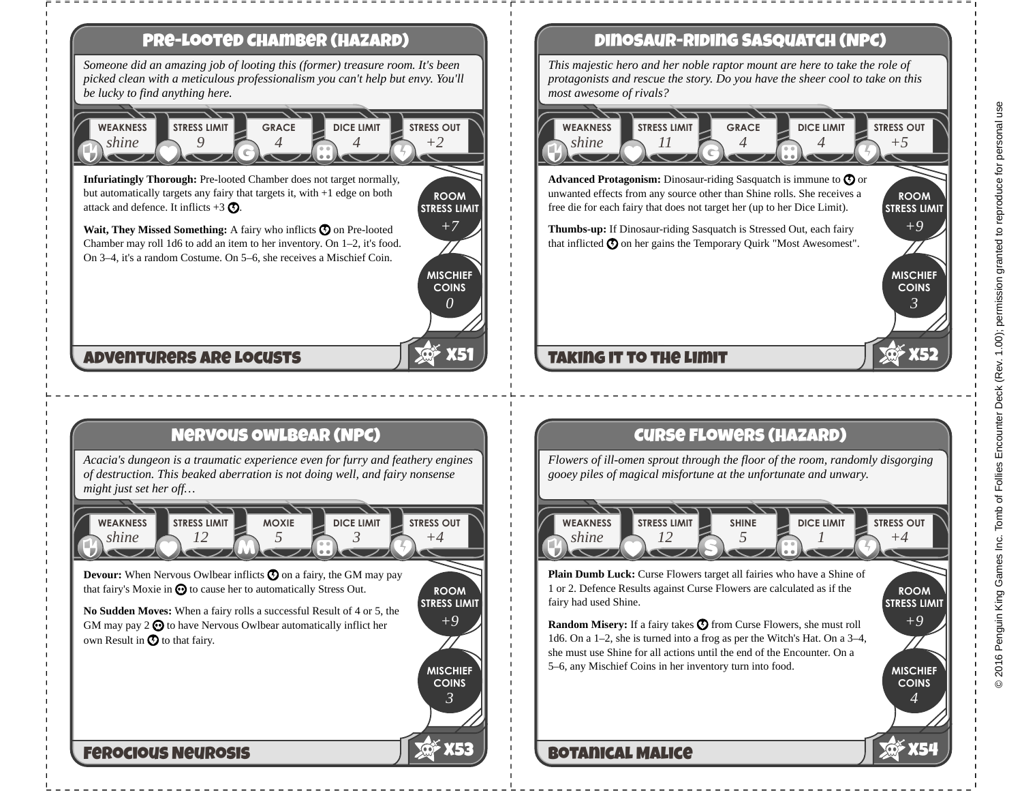

# **Dinosaur-Riding Sasquatch (NPC)**

*This majestic hero and her noble raptor mount are here to take the role of protagonists and rescue the story. Do you have the sheer cool to take on this*

### **ROOM STRESS LIMIT** *4* **GRACE** *4* **DICE LIMIT** *+5* **STRESS OUT Advanced Protagonism:** Dinosaur-riding Sasquatch is immune to  $\mathbf{\odot}$  or

unwanted effects from any source other than Shine rolls. She receives a free die for each fairy that does not target her (up to her Dice Limit).

**Thumbs-up:** If Dinosaur-riding Sasquatch is Stressed Out, each fairy that inflicted  $\odot$  on her gains the Temporary Quirk "Most Awesomest".

# **Taking it to the Limit**

# **Curse Flowers (Hazard)**

*Flowers of ill-omen sprout through the floor of the room, randomly disgorging gooey piles of magical misfortune at the unfortunate and unwary.*

**STRESS LIMIT** *5* **SHINE** *1* **DICE LIMIT** *+4* **STRESS OUT**

**Plain Dumb Luck:** Curse Flowers target all fairies who have a Shine of 1 or 2. Defence Results against Curse Flowers are calculated as if the

**Random Misery:** If a fairy takes  $\bullet$  from Curse Flowers, she must roll 1d6. On a 1–2, she is turned into a frog as per the Witch's Hat. On a 3–4, she must use Shine for all actions until the end of the Encounter. On a 5–6, any Mischief Coins in her inventory turn into food.

# **Botanical Malice**

**STRESS LIMIT** 

*+9*

**MISCHIEF COINS**

*3*

**X52**

**ROOM STRESS LIMIT**

*+9*

**MISCHIEF COINS**

*4*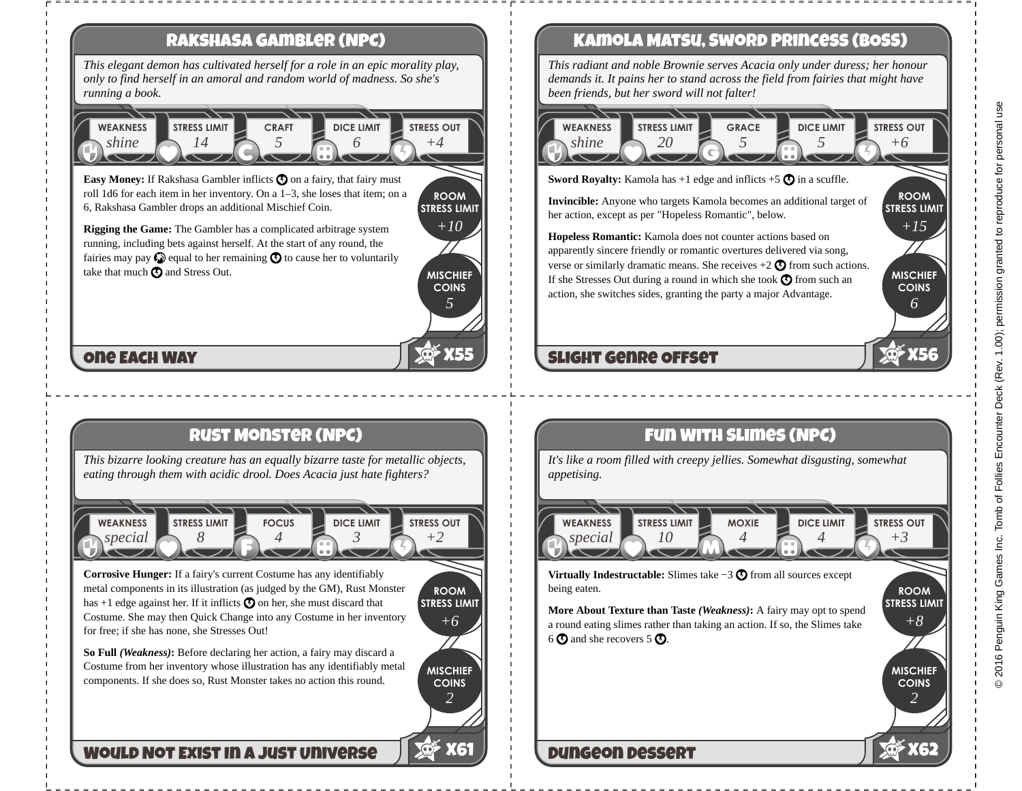

**Easy Money:** If Rakshasa Gambler inflicts  $\odot$  on a fairy, that fairy must roll 1d6 for each item in her inventory. On a 1–3, she loses that item; on a 6, Rakshasa Gambler drops an additional Mischief Coin.

**ROOM STRESS LIMIT** *+10*

> **MISCHIEF COINS**

> > *5*

**X55**

**Rigging the Game:** The Gambler has a complicated arbitrage system running, including bets against herself. At the start of any round, the fairies may pay  $\bigcirc$  equal to her remaining  $\bigcirc$  to cause her to voluntarily take that much  $\odot$  and Stress Out.

## **One Each Way**

# **Rust Monster (NPC)**

*This bizarre looking creature has an equally bizarre taste for metallic objects, eating through them with acidic drool. Does Acacia just hate fighters?*



**Corrosive Hunger:** If a fairy's current Costume has any identifiably metal components in its illustration (as judged by the GM), Rust Monster has  $+1$  edge against her. If it inflicts  $\odot$  on her, she must discard that Costume. She may then Quick Change into any Costume in her inventory for free; if she has none, she Stresses Out!

**ROOM STRESS LIMIT** *+6*

> **MISCHIEF COINS**

> > *2*

**X61**

**So Full** *(Weakness)***:** Before declaring her action, a fairy may discard a Costume from her inventory whose illustration has any identifiably metal components. If she does so, Rust Monster takes no action this round.

## **Would Not Exist In a Just Universe**

# **Kamola Matsu, Sword Princess (BOSS)**

*This radiant and noble Brownie serves Acacia only under duress; her honour demands it. It pains her to stand across the field from fairies that might have been friends, but her sword will not falter!*



**Sword Royalty:** Kamola has  $+1$  edge and inflicts  $+5\bigodot$  in a scuffle.

**Invincible:** Anyone who targets Kamola becomes an additional target of her action, except as per "Hopeless Romantic", below.

**Hopeless Romantic:** Kamola does not counter actions based on apparently sincere friendly or romantic overtures delivered via song, verse or similarly dramatic means. She receives  $+2$   $\bigodot$  from such actions. If she Stresses Out during a round in which she took  $\bigcirc$  from such an action, she switches sides, granting the party a major Advantage.

# **Slight Genre Offset**

# **Fun With Slimes (NPC)**

*It's like a room filled with creepy jellies. Somewhat disgusting, somewhat appetising.*

*special* **WEAKNESS** *10* **STRESS LIMIT** *4* **MOXIE** *4* **DICE LIMIT** *+3* **STRESS OUT**

**Virtually Indestructable:** Slimes take −3  $\odot$  from all sources except being eaten.

**STRESS LIMIT More About Texture than Taste** *(Weakness)***:** A fairy may opt to spend a round eating slimes rather than taking an action. If so, the Slimes take  $6$   $\Omega$  and she recovers 5  $\Omega$ .

# **Dungeon Dessert**

**ROOM STRESS LIMIT**

*+15*

**MISCHIEF COINS**

*6*

**X56**

**ROOM**

*+8*

**MISCHIEF COINS**

*2*